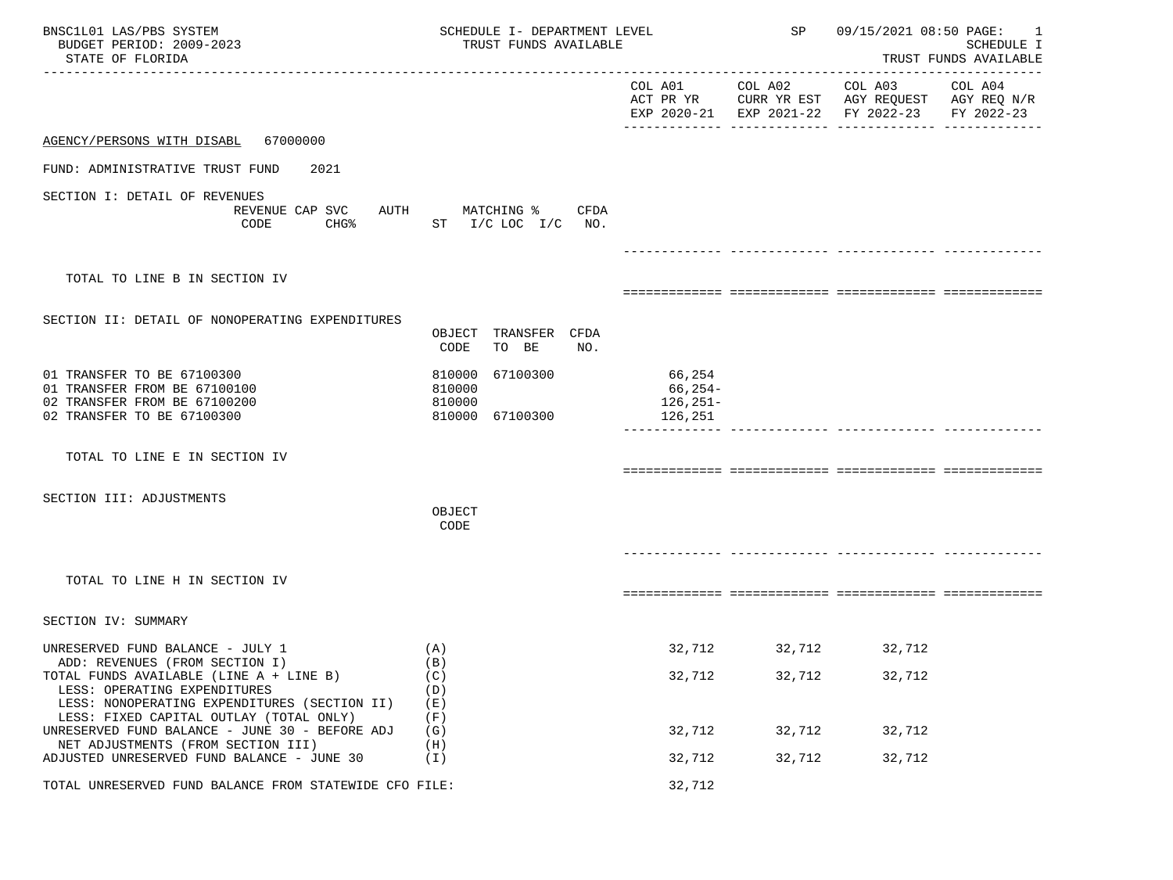| BNSC1L01 LAS/PBS SYSTEM<br>BUDGET PERIOD: 2009-2023<br>STATE OF FLORIDA                                                                                   | SCHEDULE I- DEPARTMENT LEVEL<br>TRUST FUNDS AVAILABLE     |                                              | SP                                                | 09/15/2021 08:50 PAGE: | 1<br>SCHEDULE I<br>TRUST FUNDS AVAILABLE         |
|-----------------------------------------------------------------------------------------------------------------------------------------------------------|-----------------------------------------------------------|----------------------------------------------|---------------------------------------------------|------------------------|--------------------------------------------------|
|                                                                                                                                                           |                                                           | COL A01<br>ACT PR YR                         | COL A02<br>CURR YR EST<br>EXP 2020-21 EXP 2021-22 | COL A03<br>FY 2022-23  | COL A04<br>AGY REOUEST AGY REO N/R<br>FY 2022-23 |
| AGENCY/PERSONS WITH DISABL 67000000                                                                                                                       |                                                           |                                              |                                                   |                        |                                                  |
| FUND: ADMINISTRATIVE TRUST FUND<br>2021                                                                                                                   |                                                           |                                              |                                                   |                        |                                                  |
| SECTION I: DETAIL OF REVENUES<br>REVENUE CAP SVC<br>AUTH<br>CODE<br>CHG%                                                                                  | MATCHING %<br>CFDA<br>ST I/C LOC I/C NO.                  |                                              |                                                   |                        |                                                  |
|                                                                                                                                                           |                                                           |                                              |                                                   |                        |                                                  |
| TOTAL TO LINE B IN SECTION IV                                                                                                                             |                                                           |                                              |                                                   |                        |                                                  |
| SECTION II: DETAIL OF NONOPERATING EXPENDITURES                                                                                                           | OBJECT TRANSFER CFDA<br>CODE<br>TO BE<br>NO.              |                                              |                                                   |                        |                                                  |
| 01 TRANSFER TO BE 67100300<br>01 TRANSFER FROM BE 67100100<br>02 TRANSFER FROM BE 67100200<br>02 TRANSFER TO BE 67100300                                  | 67100300<br>810000<br>810000<br>810000<br>810000 67100300 | 66,254<br>66,254-<br>$126, 251 -$<br>126,251 |                                                   |                        |                                                  |
| TOTAL TO LINE E IN SECTION IV                                                                                                                             |                                                           |                                              |                                                   |                        |                                                  |
| SECTION III: ADJUSTMENTS                                                                                                                                  | OBJECT<br>CODE                                            |                                              |                                                   |                        |                                                  |
| TOTAL TO LINE H IN SECTION IV                                                                                                                             |                                                           |                                              |                                                   |                        |                                                  |
| SECTION IV: SUMMARY                                                                                                                                       |                                                           |                                              |                                                   |                        |                                                  |
| UNRESERVED FUND BALANCE - JULY 1                                                                                                                          | (A)                                                       | 32,712                                       | 32,712                                            | 32,712                 |                                                  |
| ADD: REVENUES (FROM SECTION I)<br>TOTAL FUNDS AVAILABLE (LINE A + LINE B)<br>LESS: OPERATING EXPENDITURES<br>LESS: NONOPERATING EXPENDITURES (SECTION II) | (B)<br>(C)<br>(D)<br>(E)                                  | 32,712                                       | 32,712                                            | 32,712                 |                                                  |
| LESS: FIXED CAPITAL OUTLAY (TOTAL ONLY)<br>UNRESERVED FUND BALANCE - JUNE 30 - BEFORE ADJ                                                                 | (F)<br>(G)                                                | 32,712                                       | 32,712                                            | 32,712                 |                                                  |
| NET ADJUSTMENTS (FROM SECTION III)<br>ADJUSTED UNRESERVED FUND BALANCE - JUNE 30                                                                          | (H)<br>( I )                                              | 32,712                                       | 32,712                                            | 32,712                 |                                                  |
| TOTAL UNRESERVED FUND BALANCE FROM STATEWIDE CFO FILE:                                                                                                    |                                                           | 32,712                                       |                                                   |                        |                                                  |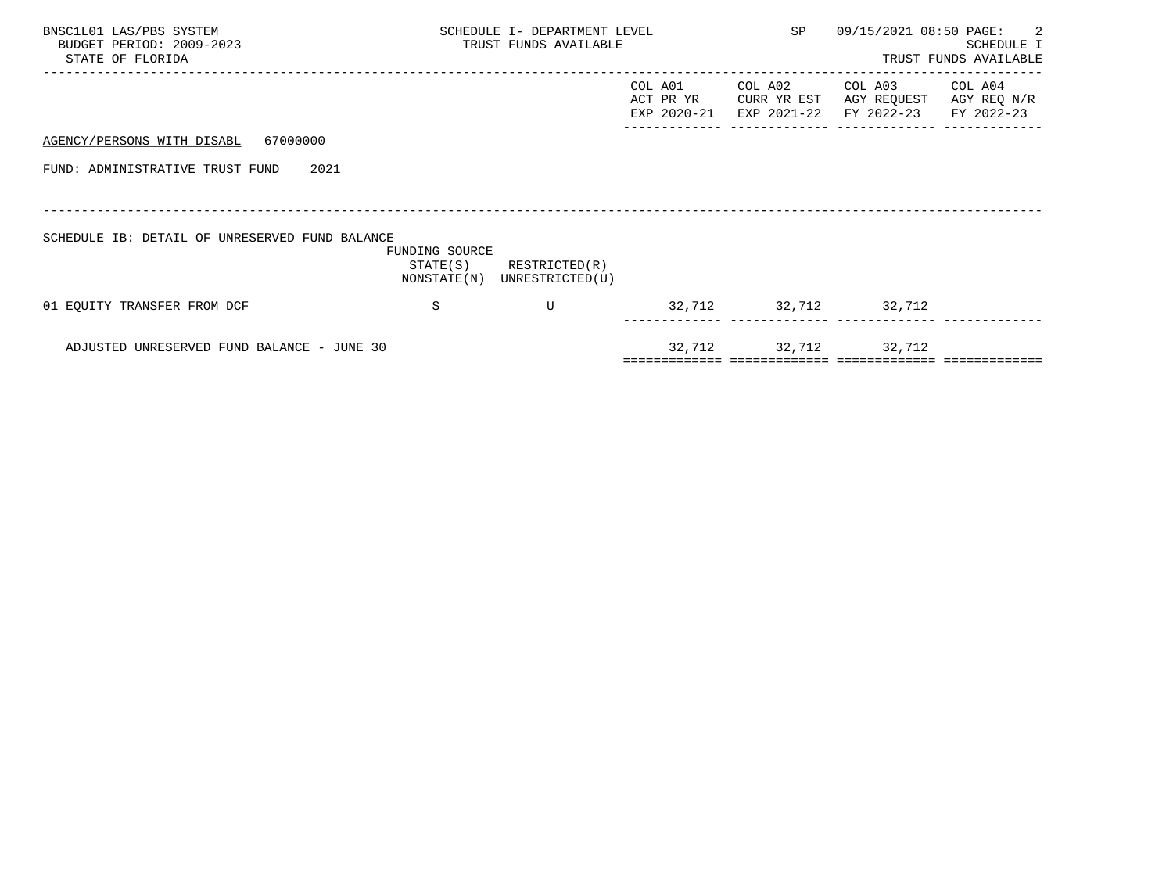| BNSC1L01 LAS/PBS SYSTEM<br>BUDGET PERIOD: 2009-2023<br>STATE OF FLORIDA | SCHEDULE I- DEPARTMENT LEVEL<br>TRUST FUNDS AVAILABLE |                                              |                                     | SP                                    | 09/15/2021 08:50 PAGE:               | $\overline{\phantom{a}}$<br>SCHEDULE I<br>TRUST FUNDS AVAILABLE |
|-------------------------------------------------------------------------|-------------------------------------------------------|----------------------------------------------|-------------------------------------|---------------------------------------|--------------------------------------|-----------------------------------------------------------------|
|                                                                         |                                                       |                                              | COL A01<br>ACT PR YR<br>EXP 2020-21 | COL A02<br>CURR YR EST<br>EXP 2021-22 | COL A03<br>AGY REQUEST<br>FY 2022-23 | COL A04<br>AGY REQ N/R<br>FY 2022-23                            |
| AGENCY/PERSONS WITH DISABL 67000000                                     |                                                       |                                              |                                     |                                       |                                      |                                                                 |
| FUND: ADMINISTRATIVE TRUST FUND<br>2021                                 |                                                       |                                              |                                     |                                       |                                      |                                                                 |
|                                                                         |                                                       |                                              |                                     |                                       |                                      |                                                                 |
| SCHEDULE IB: DETAIL OF UNRESERVED FUND BALANCE                          | FUNDING SOURCE<br>STATE(S)                            | RESTRICTED(R)<br>NONSTATE(N) UNRESTRICTED(U) |                                     |                                       |                                      |                                                                 |
| 01 EQUITY TRANSFER FROM DCF                                             | S                                                     | U                                            |                                     | 32,712 32,712 32,712                  |                                      |                                                                 |
| ADJUSTED UNRESERVED FUND BALANCE - JUNE 30                              |                                                       |                                              |                                     | 32,712 32,712 32,712                  |                                      |                                                                 |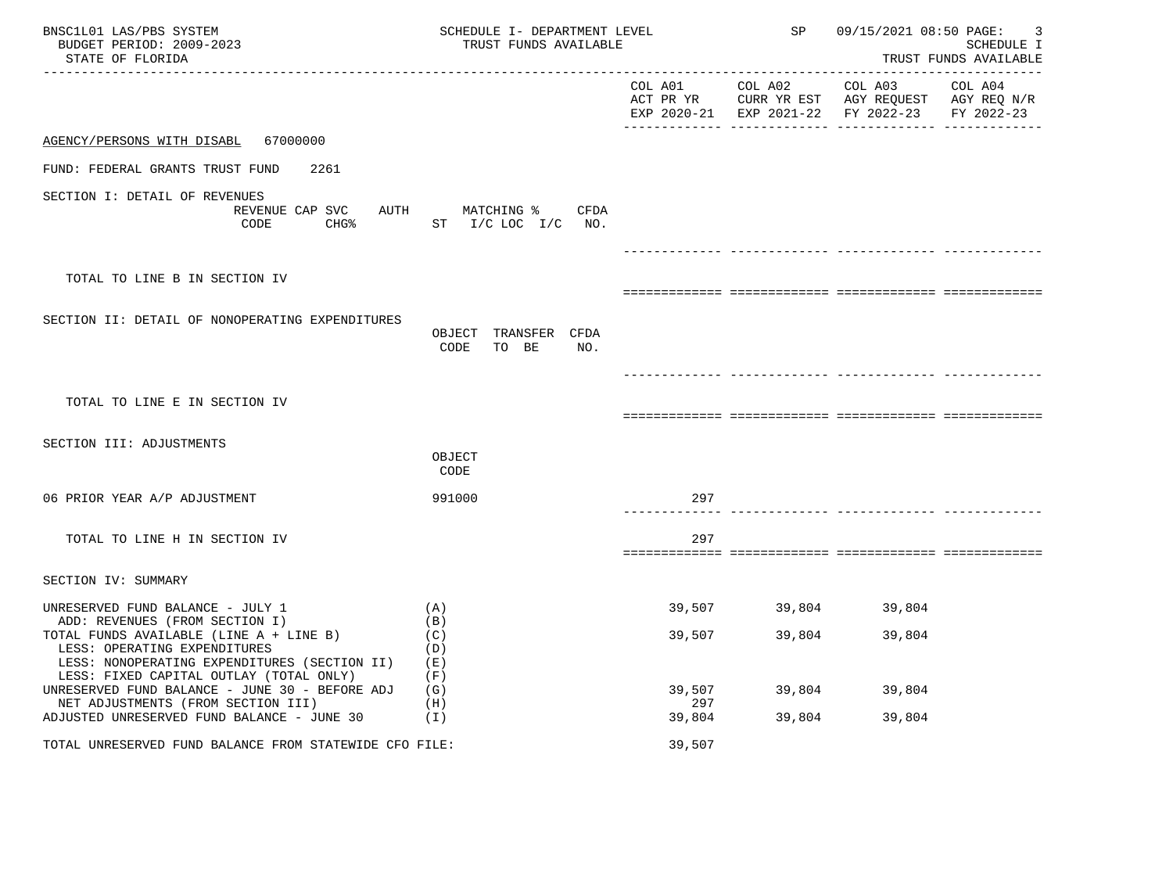| BNSC1L01 LAS/PBS SYSTEM<br>BUDGET PERIOD: 2009-2023<br>STATE OF FLORIDA                                                                                                                              | SCHEDULE I- DEPARTMENT LEVEL<br>TRUST FUNDS AVAILABLE |                 | SP            | 09/15/2021 08:50 PAGE:<br>SCHEDULE I<br>TRUST FUNDS AVAILABLE                                  |                       |
|------------------------------------------------------------------------------------------------------------------------------------------------------------------------------------------------------|-------------------------------------------------------|-----------------|---------------|------------------------------------------------------------------------------------------------|-----------------------|
|                                                                                                                                                                                                      |                                                       | COL A01 COL A02 |               | COL A03<br>ACT PR YR CURR YR EST AGY REQUEST AGY REQ N/R<br>EXP 2020-21 EXP 2021-22 FY 2022-23 | COL A04<br>FY 2022-23 |
| AGENCY/PERSONS WITH DISABL 67000000                                                                                                                                                                  |                                                       |                 |               |                                                                                                |                       |
| FUND: FEDERAL GRANTS TRUST FUND<br>2261                                                                                                                                                              |                                                       |                 |               |                                                                                                |                       |
| SECTION I: DETAIL OF REVENUES<br>REVENUE CAP SVC<br>CHG <sup>8</sup><br>CODE                                                                                                                         | AUTH<br>MATCHING %<br>CFDA<br>ST I/C LOC I/C NO.      |                 |               |                                                                                                |                       |
|                                                                                                                                                                                                      |                                                       |                 |               |                                                                                                |                       |
| TOTAL TO LINE B IN SECTION IV                                                                                                                                                                        |                                                       |                 |               |                                                                                                |                       |
| SECTION II: DETAIL OF NONOPERATING EXPENDITURES                                                                                                                                                      | OBJECT TRANSFER CFDA<br>CODE<br>TO BE<br>NO.          |                 |               |                                                                                                |                       |
| TOTAL TO LINE E IN SECTION IV                                                                                                                                                                        |                                                       |                 |               |                                                                                                |                       |
| SECTION III: ADJUSTMENTS                                                                                                                                                                             | OBJECT<br>CODE                                        |                 |               |                                                                                                |                       |
| 06 PRIOR YEAR A/P ADJUSTMENT                                                                                                                                                                         | 991000                                                | 297             |               |                                                                                                |                       |
| TOTAL TO LINE H IN SECTION IV                                                                                                                                                                        |                                                       | 297             |               |                                                                                                |                       |
| SECTION IV: SUMMARY                                                                                                                                                                                  |                                                       |                 |               |                                                                                                |                       |
| UNRESERVED FUND BALANCE - JULY 1                                                                                                                                                                     | (A)                                                   |                 | 39,507 39,804 | 39,804                                                                                         |                       |
| ADD: REVENUES (FROM SECTION I)<br>TOTAL FUNDS AVAILABLE (LINE A + LINE B)<br>LESS: OPERATING EXPENDITURES<br>LESS: NONOPERATING EXPENDITURES (SECTION II)<br>LESS: FIXED CAPITAL OUTLAY (TOTAL ONLY) | (B)<br>(C)<br>(D)<br>(E)<br>(F)                       | 39,507          | 39,804        | 39,804                                                                                         |                       |
| UNRESERVED FUND BALANCE - JUNE 30 - BEFORE ADJ<br>NET ADJUSTMENTS (FROM SECTION III)                                                                                                                 | (G)<br>(H)                                            | 39,507<br>297   | 39,804        | 39,804                                                                                         |                       |
| ADJUSTED UNRESERVED FUND BALANCE - JUNE 30                                                                                                                                                           | (I)                                                   | 39,804          | 39,804        | 39,804                                                                                         |                       |
| TOTAL UNRESERVED FUND BALANCE FROM STATEWIDE CFO FILE:                                                                                                                                               |                                                       | 39,507          |               |                                                                                                |                       |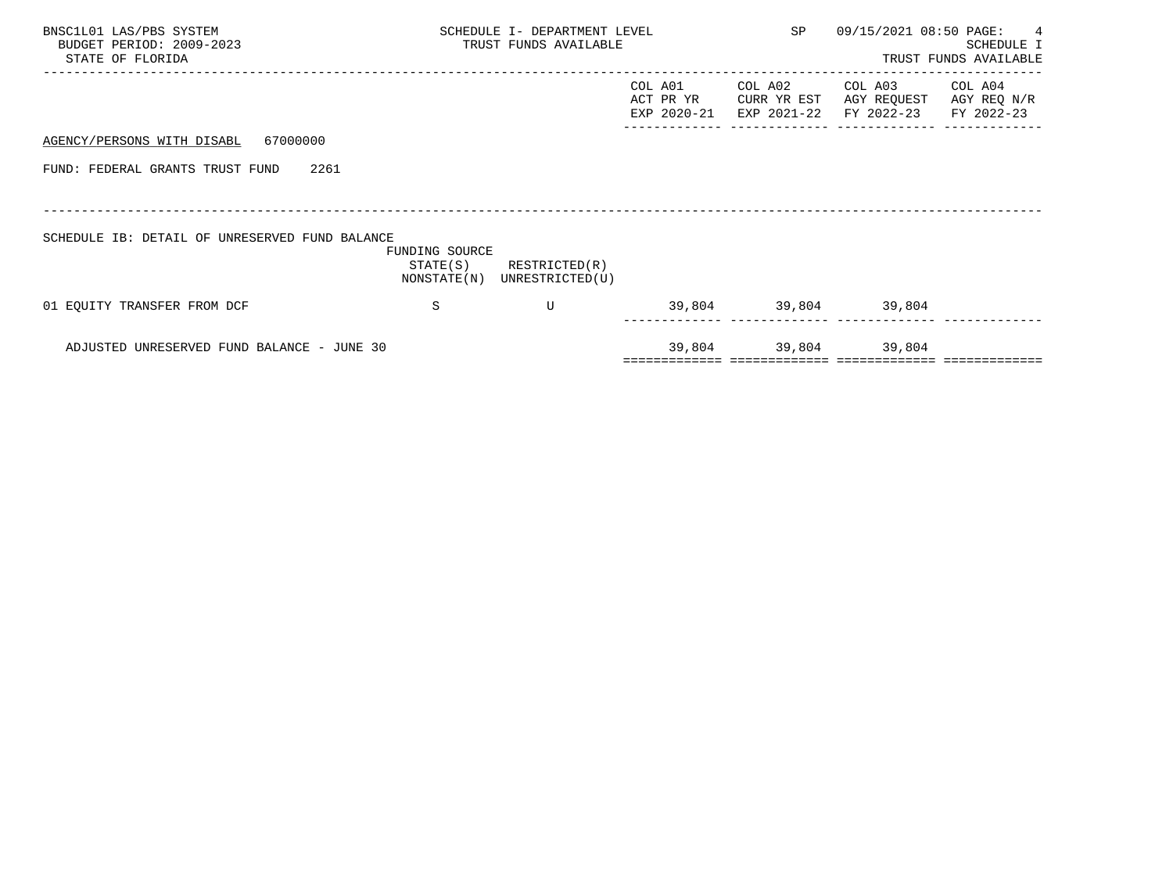| BNSC1L01 LAS/PBS SYSTEM<br>BUDGET PERIOD: 2009-2023<br>STATE OF FLORIDA | SCHEDULE I- DEPARTMENT LEVEL<br>TRUST FUNDS AVAILABLE |                                  |                                     | SP                                    | 09/15/2021 08:50 PAGE:               | $\overline{4}$<br>SCHEDULE I<br>TRUST FUNDS AVAILABLE |
|-------------------------------------------------------------------------|-------------------------------------------------------|----------------------------------|-------------------------------------|---------------------------------------|--------------------------------------|-------------------------------------------------------|
|                                                                         |                                                       |                                  | COL A01<br>ACT PR YR<br>EXP 2020-21 | COL A02<br>CURR YR EST<br>EXP 2021-22 | COL A03<br>AGY REQUEST<br>FY 2022-23 | COL A04<br>AGY REQ N/R<br>FY 2022-23                  |
| 67000000<br>AGENCY/PERSONS WITH DISABL                                  |                                                       |                                  |                                     |                                       |                                      |                                                       |
| FUND: FEDERAL GRANTS TRUST FUND<br>2261                                 |                                                       |                                  |                                     |                                       |                                      |                                                       |
|                                                                         |                                                       |                                  |                                     |                                       |                                      |                                                       |
| SCHEDULE IB: DETAIL OF UNRESERVED FUND BALANCE                          | FUNDING SOURCE<br>STATE(S)<br>NONSTATE(N)             | RESTRICTED(R)<br>UNRESTRICTED(U) |                                     |                                       |                                      |                                                       |
| 01 EQUITY TRANSFER FROM DCF                                             | S                                                     | U                                |                                     | 39,804 39,804 39,804                  |                                      |                                                       |
| ADJUSTED UNRESERVED FUND BALANCE - JUNE 30                              |                                                       |                                  | 39,804                              | 39,804 39,804                         |                                      |                                                       |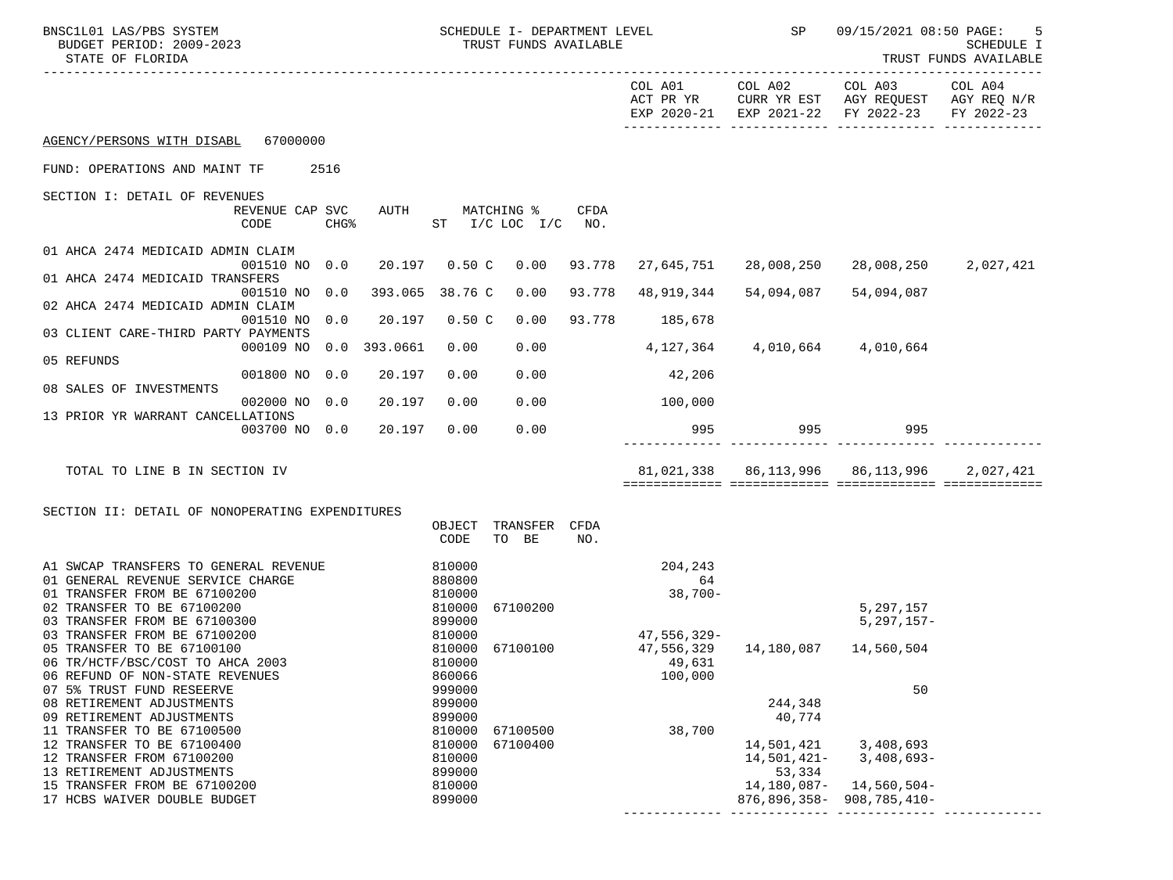| BNSC1L01 LAS/PBS SYSTEM<br>BUDGET PERIOD: 2009-2023<br>STATE OF FLORIDA |                         |      |                 |                  | SCHEDULE I- DEPARTMENT LEVEL<br>TRUST FUNDS AVAILABLE |        |                | SP                                  | 09/15/2021 08:50 PAGE:                                                                                         | -5<br><b>SCHEDULE I</b><br>TRUST FUNDS AVAILABLE |
|-------------------------------------------------------------------------|-------------------------|------|-----------------|------------------|-------------------------------------------------------|--------|----------------|-------------------------------------|----------------------------------------------------------------------------------------------------------------|--------------------------------------------------|
|                                                                         |                         |      |                 |                  |                                                       |        |                |                                     | COL A01 COL A02 COL A03<br>ACT PR YR CURR YR EST AGY REQUEST AGY REQ N/R<br>EXP 2020-21 EXP 2021-22 FY 2022-23 | COL A04<br>FY 2022-23                            |
| AGENCY/PERSONS WITH DISABL 67000000                                     |                         |      |                 |                  |                                                       |        |                |                                     |                                                                                                                |                                                  |
| FUND: OPERATIONS AND MAINT TF                                           | 2516                    |      |                 |                  |                                                       |        |                |                                     |                                                                                                                |                                                  |
| SECTION I: DETAIL OF REVENUES                                           |                         |      |                 |                  |                                                       |        |                |                                     |                                                                                                                |                                                  |
|                                                                         | REVENUE CAP SVC<br>CODE | CHG% | AUTH            |                  | MATCHING %<br>ST I/C LOC I/C NO.                      | CFDA   |                |                                     |                                                                                                                |                                                  |
| 01 AHCA 2474 MEDICAID ADMIN CLAIM                                       |                         |      |                 |                  |                                                       |        |                |                                     |                                                                                                                |                                                  |
|                                                                         | 001510 NO 0.0           |      |                 | 20.197 0.50 C    | 0.00                                                  | 93.778 | 27,645,751     | 28,008,250                          | 28,008,250                                                                                                     | 2,027,421                                        |
| 01 AHCA 2474 MEDICAID TRANSFERS                                         | 001510 NO 0.0           |      | 393.065 38.76 C |                  | 0.00                                                  | 93.778 | 48,919,344     | 54,094,087                          | 54,094,087                                                                                                     |                                                  |
| 02 AHCA 2474 MEDICAID ADMIN CLAIM                                       |                         |      |                 |                  |                                                       |        |                |                                     |                                                                                                                |                                                  |
| 03 CLIENT CARE-THIRD PARTY PAYMENTS                                     | 001510 NO 0.0           |      | 20.197          | 0.50C            | 0.00                                                  |        | 93.778 185,678 |                                     |                                                                                                                |                                                  |
| 05 REFUNDS                                                              | 000109 NO               | 0.0  | 393.0661        | 0.00             | 0.00                                                  |        |                | 4, 127, 364 4, 010, 664 4, 010, 664 |                                                                                                                |                                                  |
|                                                                         | 001800 NO 0.0           |      | 20.197          | 0.00             | 0.00                                                  |        | 42,206         |                                     |                                                                                                                |                                                  |
| 08 SALES OF INVESTMENTS                                                 | 002000 NO 0.0           |      |                 |                  | 0.00                                                  |        |                |                                     |                                                                                                                |                                                  |
| 13 PRIOR YR WARRANT CANCELLATIONS                                       |                         |      | 20.197          | 0.00             |                                                       |        | 100,000        |                                     |                                                                                                                |                                                  |
|                                                                         | 003700 NO 0.0           |      | 20.197          | 0.00             | 0.00                                                  |        | 995            |                                     | 995 995                                                                                                        |                                                  |
| TOTAL TO LINE B IN SECTION IV                                           |                         |      |                 |                  |                                                       |        |                |                                     |                                                                                                                | 2,027,421                                        |
|                                                                         |                         |      |                 |                  |                                                       |        |                |                                     |                                                                                                                |                                                  |
| SECTION II: DETAIL OF NONOPERATING EXPENDITURES                         |                         |      |                 |                  |                                                       |        |                |                                     |                                                                                                                |                                                  |
|                                                                         |                         |      |                 | OBJECT<br>CODE   | TRANSFER CFDA<br>TO BE                                | NO.    |                |                                     |                                                                                                                |                                                  |
| A1 SWCAP TRANSFERS TO GENERAL REVENUE                                   |                         |      |                 | 810000           |                                                       |        | 204,243        |                                     |                                                                                                                |                                                  |
| 01 GENERAL REVENUE SERVICE CHARGE<br>01 TRANSFER FROM BE 67100200       |                         |      |                 | 880800<br>810000 |                                                       |        | 64<br>38,700-  |                                     |                                                                                                                |                                                  |
| 02 TRANSFER TO BE 67100200                                              |                         |      |                 | 810000           | 67100200                                              |        |                |                                     | 5,297,157                                                                                                      |                                                  |
| 03 TRANSFER FROM BE 67100300                                            |                         |      |                 | 899000           |                                                       |        |                |                                     | $5,297,157-$                                                                                                   |                                                  |
| 03 TRANSFER FROM BE 67100200<br>05 TRANSFER TO BE 67100100              |                         |      |                 | 810000           | 810000 67100100                                       |        | 47,556,329-    |                                     |                                                                                                                |                                                  |
| 06 TR/HCTF/BSC/COST TO AHCA 2003                                        |                         |      |                 | 810000           |                                                       |        | 49,631         |                                     |                                                                                                                |                                                  |
| 06 REFUND OF NON-STATE REVENUES                                         |                         |      |                 | 860066<br>999000 |                                                       |        | 100,000        |                                     | 50                                                                                                             |                                                  |
| 07 5% TRUST FUND RESEERVE<br>08 RETIREMENT ADJUSTMENTS                  |                         |      |                 | 899000           |                                                       |        |                | 244,348                             |                                                                                                                |                                                  |
| 09 RETIREMENT ADJUSTMENTS                                               |                         |      |                 | 899000           |                                                       |        |                | 40,774                              |                                                                                                                |                                                  |
| 11 TRANSFER TO BE 67100500                                              |                         |      |                 | 810000           | 67100500                                              |        | 38,700         | 14,501,421                          |                                                                                                                |                                                  |
| 12 TRANSFER TO BE 67100400<br>12 TRANSFER FROM 67100200                 |                         |      |                 | 810000<br>810000 | 67100400                                              |        |                | 14,501,421-                         | 3,408,693<br>$3,408,693-$                                                                                      |                                                  |
| 13 RETIREMENT ADJUSTMENTS                                               |                         |      |                 | 899000           |                                                       |        |                | 53,334                              |                                                                                                                |                                                  |
| 15 TRANSFER FROM BE 67100200<br>17 HCBS WAIVER DOUBLE BUDGET            |                         |      |                 | 810000<br>899000 |                                                       |        |                | 14,180,087-<br>876,896,358-         | 14,560,504-<br>908,785,410-                                                                                    |                                                  |
|                                                                         |                         |      |                 |                  |                                                       |        |                |                                     |                                                                                                                |                                                  |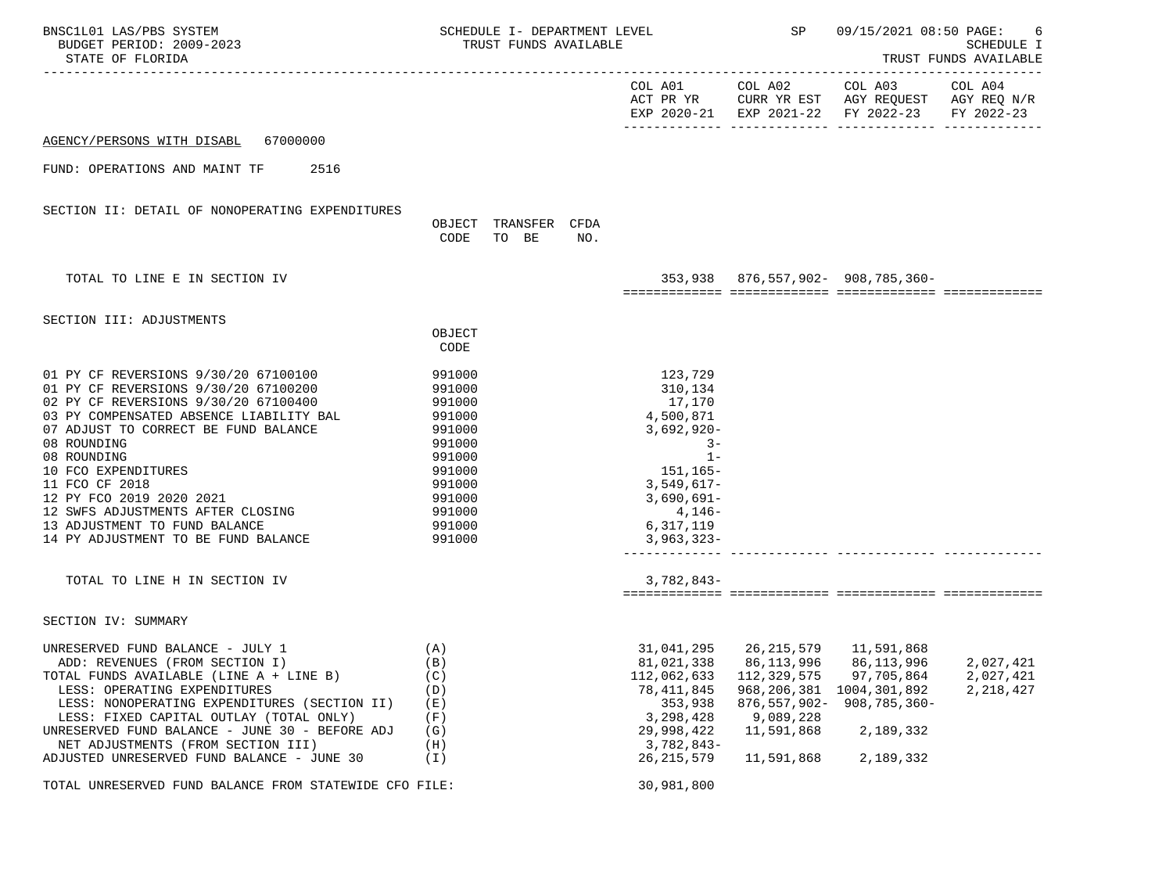|                                                                                                                                 | SP SP                                                                                                       |                                                                                                                                                                             | SCHEDULE I<br>TRUST FUNDS AVAILABLE                                |                                                                                                                                                                                                                                                                         |
|---------------------------------------------------------------------------------------------------------------------------------|-------------------------------------------------------------------------------------------------------------|-----------------------------------------------------------------------------------------------------------------------------------------------------------------------------|--------------------------------------------------------------------|-------------------------------------------------------------------------------------------------------------------------------------------------------------------------------------------------------------------------------------------------------------------------|
|                                                                                                                                 |                                                                                                             |                                                                                                                                                                             |                                                                    | COL A04                                                                                                                                                                                                                                                                 |
|                                                                                                                                 |                                                                                                             |                                                                                                                                                                             |                                                                    |                                                                                                                                                                                                                                                                         |
|                                                                                                                                 |                                                                                                             |                                                                                                                                                                             |                                                                    |                                                                                                                                                                                                                                                                         |
| OBJECT TRANSFER CFDA<br>CODE<br>TO BE<br>NO.                                                                                    |                                                                                                             |                                                                                                                                                                             |                                                                    |                                                                                                                                                                                                                                                                         |
|                                                                                                                                 |                                                                                                             |                                                                                                                                                                             |                                                                    |                                                                                                                                                                                                                                                                         |
|                                                                                                                                 |                                                                                                             |                                                                                                                                                                             |                                                                    |                                                                                                                                                                                                                                                                         |
| OBJECT<br>CODE                                                                                                                  |                                                                                                             |                                                                                                                                                                             |                                                                    |                                                                                                                                                                                                                                                                         |
| 991000<br>991000<br>991000<br>991000<br>991000<br>991000<br>991000<br>991000<br>991000<br>991000<br>991000<br>991000<br>991000  | 123,729<br>310,134<br>17,170<br>4,500,871<br>6,317,119                                                      |                                                                                                                                                                             |                                                                    |                                                                                                                                                                                                                                                                         |
|                                                                                                                                 |                                                                                                             |                                                                                                                                                                             |                                                                    |                                                                                                                                                                                                                                                                         |
|                                                                                                                                 |                                                                                                             |                                                                                                                                                                             |                                                                    |                                                                                                                                                                                                                                                                         |
| (A)<br>(B)<br>(C)<br>(D)<br>(E)<br>(F)<br>(G)<br>(H)<br>$(\lrcorner)$<br>TOTAL UNRESERVED FUND BALANCE FROM STATEWIDE CFO FILE: | 81,021,338<br>112,062,633<br>78,411,845<br>353,938<br>3,298,428<br>29,998,422<br>26, 215, 579<br>30,981,800 | 86, 113, 996<br>112,329,575<br>968,206,381<br>9,089,228<br>11,591,868<br>11,591,868                                                                                         | 86,113,996<br>97,705,864<br>1004,301,892<br>2,189,332<br>2,189,332 | 2,027,421<br>2,027,421<br>2, 218, 427                                                                                                                                                                                                                                   |
|                                                                                                                                 |                                                                                                             | SCHEDULE I- DEPARTMENT LEVEL<br>TRUST FUNDS AVAILABLE<br>$3,692,920-$<br>$3 -$<br>$1 -$<br>151,165–<br>3,549,617-<br>$3,690,691-$<br>4,146-<br>$3,782,843-$<br>$3,782,843-$ | $3,963,323-$                                                       | 09/15/2021 08:50 PAGE:<br>COL A01 COL A02 COL A03<br>ACT PR YR CURR YR EST AGY REQUEST AGY REQ N/R<br>EXP 2020-21 EXP 2021-22 FY 2022-23 FY 2022-23<br>$353,938$ $876,557,902 - 908,785,360 -$<br>31,041,295 26,215,579 11,591,868<br>908,785,360-<br>$876, 557, 902 -$ |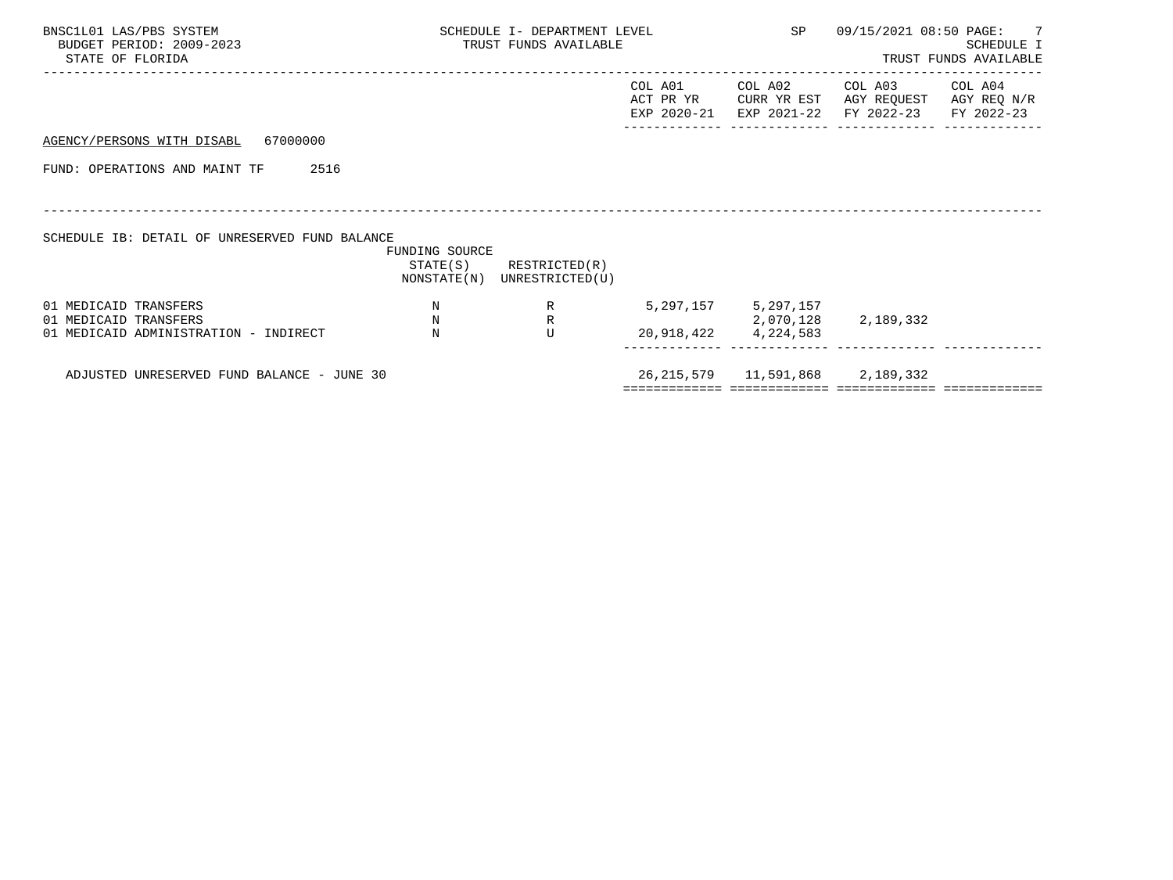| BNSC1L01 LAS/PBS SYSTEM<br>BUDGET PERIOD: 2009-2023<br>STATE OF FLORIDA                 | SCHEDULE I- DEPARTMENT LEVEL<br>TRUST FUNDS AVAILABLE |                                                            |         | SP                                                                     | 09/15/2021 08:50 PAGE: 7                                                                       | SCHEDULE I<br>TRUST FUNDS AVAILABLE |
|-----------------------------------------------------------------------------------------|-------------------------------------------------------|------------------------------------------------------------|---------|------------------------------------------------------------------------|------------------------------------------------------------------------------------------------|-------------------------------------|
|                                                                                         |                                                       |                                                            | COL A01 | COL A02                                                                | COL A03<br>ACT PR YR CURR YR EST AGY REQUEST AGY REQ N/R<br>EXP 2020-21 EXP 2021-22 FY 2022-23 | COL A04<br>FY 2022-23               |
| AGENCY/PERSONS WITH DISABL 67000000                                                     |                                                       |                                                            |         |                                                                        |                                                                                                |                                     |
| FUND: OPERATIONS AND MAINT TF<br>2516                                                   |                                                       |                                                            |         |                                                                        |                                                                                                |                                     |
| SCHEDULE IB: DETAIL OF UNRESERVED FUND BALANCE                                          | FUNDING SOURCE                                        | $STATE(S)$ RESTRICTED $(R)$<br>NONSTATE(N) UNRESTRICTED(U) |         |                                                                        |                                                                                                |                                     |
| 01 MEDICAID TRANSFERS<br>01 MEDICAID TRANSFERS<br>01 MEDICAID ADMINISTRATION - INDIRECT | $\mathbf N$<br>N<br>$_{\rm N}$                        | $R \sim$<br>$\mathbb R$<br>$\mathbf{U}$                    |         | 5, 297, 157 5, 297, 157<br>2,070,128 2,189,332<br>20,918,422 4,224,583 |                                                                                                |                                     |
| ADJUSTED UNRESERVED FUND BALANCE - JUNE 30                                              |                                                       |                                                            |         | 26, 215, 579 11, 591, 868 2, 189, 332                                  |                                                                                                |                                     |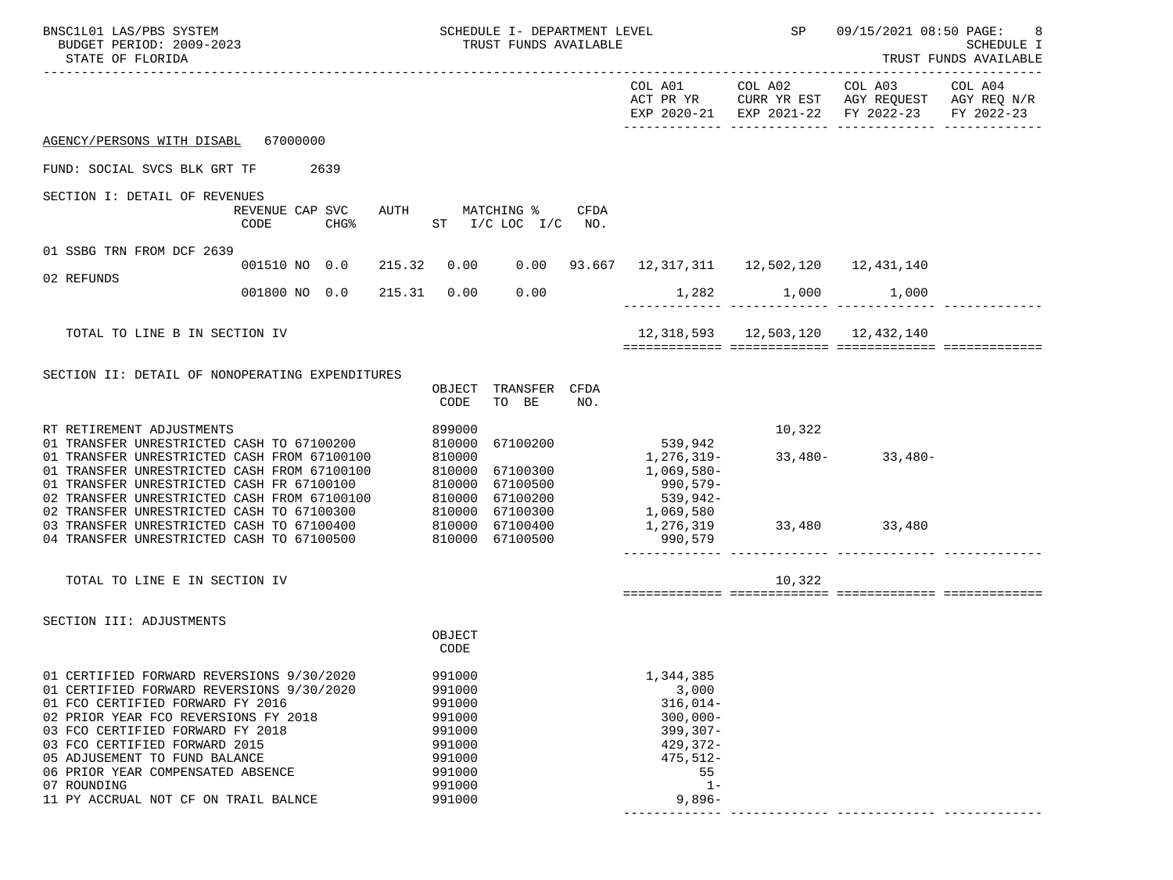| BNSC1L01 LAS/PBS SYSTEM<br>BUDGET PERIOD: 2009-2023<br>STATE OF FLORIDA                                                                                                                                                                                                                                                                                                                                    |                         |        |                                                                                                  | SCHEDULE I- DEPARTMENT LEVEL<br>TRUST FUNDS AVAILABLE |      |                                                                                                                      | SP                                         | 09/15/2021 08:50 PAGE:                                                                                                    | 8<br>SCHEDULE I<br>TRUST FUNDS AVAILABLE |
|------------------------------------------------------------------------------------------------------------------------------------------------------------------------------------------------------------------------------------------------------------------------------------------------------------------------------------------------------------------------------------------------------------|-------------------------|--------|--------------------------------------------------------------------------------------------------|-------------------------------------------------------|------|----------------------------------------------------------------------------------------------------------------------|--------------------------------------------|---------------------------------------------------------------------------------------------------------------------------|------------------------------------------|
|                                                                                                                                                                                                                                                                                                                                                                                                            |                         |        |                                                                                                  |                                                       |      |                                                                                                                      |                                            | COL A01 COL A02 COL A03<br>ACT PR YR CURR YR EST AGY REQUEST AGY REQ N/R<br>EXP 2020-21 EXP 2021-22 FY 2022-23 FY 2022-23 | COL A04                                  |
| AGENCY/PERSONS WITH DISABL 67000000                                                                                                                                                                                                                                                                                                                                                                        |                         |        |                                                                                                  |                                                       |      |                                                                                                                      |                                            |                                                                                                                           |                                          |
| FUND: SOCIAL SVCS BLK GRT TF 2639                                                                                                                                                                                                                                                                                                                                                                          |                         |        |                                                                                                  |                                                       |      |                                                                                                                      |                                            |                                                                                                                           |                                          |
| SECTION I: DETAIL OF REVENUES                                                                                                                                                                                                                                                                                                                                                                              | REVENUE CAP SVC<br>CODE | $CHG\$ |                                                                                                  | AUTH MATCHING %<br>ST $I/C$ LOC $I/C$ NO.             | CFDA |                                                                                                                      |                                            |                                                                                                                           |                                          |
| 01 SSBG TRN FROM DCF 2639                                                                                                                                                                                                                                                                                                                                                                                  | 001510 NO 0.0           |        |                                                                                                  |                                                       |      | 215.32  0.00  0.00  93.667  12,317,311  12,502,120  12,431,140                                                       |                                            |                                                                                                                           |                                          |
| 02 REFUNDS                                                                                                                                                                                                                                                                                                                                                                                                 | 001800 NO 0.0           | 215.31 | 0.00                                                                                             | 0.00                                                  |      |                                                                                                                      | 1,282 1,000 1,000                          |                                                                                                                           |                                          |
| TOTAL TO LINE B IN SECTION IV                                                                                                                                                                                                                                                                                                                                                                              |                         |        |                                                                                                  |                                                       |      |                                                                                                                      | 12, 318, 593   12, 503, 120   12, 432, 140 |                                                                                                                           |                                          |
| SECTION II: DETAIL OF NONOPERATING EXPENDITURES                                                                                                                                                                                                                                                                                                                                                            |                         |        | CODE                                                                                             | OBJECT TRANSFER CFDA<br>TO BE                         | NO.  |                                                                                                                      |                                            |                                                                                                                           |                                          |
| RT RETIREMENT ADJUSTMENTS<br>01 TRANSFER UNRESTRICTED CASH TO 67100200<br>01 TRANSFER UNRESTRICTED CASH FROM 67100100<br>01 TRANSFER UNRESTRICTED CASH FROM 67100100<br>01 TRANSFER UNRESTRICTED CASH FR 67100100<br>02 TRANSFER UNRESTRICTED CASH FROM 67100100 810000 67100200<br>02 TRANSFER UNRESTRICTED CASH TO 67100300 810000 67100300<br>03 TRANSFER UNRESTRICTED CASH TO 67100400 810000 67100400 |                         |        | 899000<br>810000<br>810000                                                                       | 67100200<br>810000 67100300<br>810000 67100500        |      | 539,942<br>1,276,319-<br>1,069,580-<br>$990,579-$<br>539,942-<br>1,069,580                                           | 10,322                                     | $33,480 - 33,480 -$                                                                                                       |                                          |
| 04 TRANSFER UNRESTRICTED CASH TO 67100500                                                                                                                                                                                                                                                                                                                                                                  |                         |        |                                                                                                  | 810000 67100500                                       |      | 1,276,319<br>990,579                                                                                                 |                                            | 33,480 33,480                                                                                                             |                                          |
| TOTAL TO LINE E IN SECTION IV                                                                                                                                                                                                                                                                                                                                                                              |                         |        |                                                                                                  |                                                       |      |                                                                                                                      | 10,322                                     |                                                                                                                           |                                          |
| SECTION III: ADJUSTMENTS                                                                                                                                                                                                                                                                                                                                                                                   |                         |        | OBJECT<br>CODE                                                                                   |                                                       |      |                                                                                                                      |                                            |                                                                                                                           |                                          |
| 01 CERTIFIED FORWARD REVERSIONS 9/30/2020<br>01 CERTIFIED FORWARD REVERSIONS 9/30/2020<br>01 FCO CERTIFIED FORWARD FY 2016<br>02 PRIOR YEAR FCO REVERSIONS FY 2018<br>03 FCO CERTIFIED FORWARD FY 2018<br>03 FCO CERTIFIED FORWARD 2015<br>05 ADJUSEMENT TO FUND BALANCE<br>06 PRIOR YEAR COMPENSATED ABSENCE<br>07 ROUNDING<br>11 PY ACCRUAL NOT CF ON TRAIL BALNCE                                       |                         |        | 991000<br>991000<br>991000<br>991000<br>991000<br>991000<br>991000<br>991000<br>991000<br>991000 |                                                       |      | 1,344,385<br>3,000<br>$316,014-$<br>$300,000 -$<br>$399, 307 -$<br>429,372-<br>$475,512-$<br>55<br>$1 -$<br>$9,896-$ |                                            |                                                                                                                           |                                          |